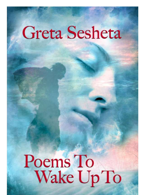# **Greta Sesheta**

# Poems To<br>Wake Up To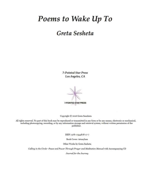## Poems to Wake Up To

### Greta Sesheta

**7-Pointed Star Press** Los Angeles, CA

7-POINTED STAR PRESS

Copyright C 2016 Greta Sansheta

All rights reserved. No part of this book may be reproduced or transmitted in any form or by any means, electronic or mechanical, including photocopying, recording, or by any information storage and retrieval system, without written permission of the publisher.

ISBN: 978-1-944878-17-7

Book Cover: Artasylum

Other Works by Greta Sesheta

Calling in the Circle-Peace and Power Through Prayer and Meditation Manual with Accompanying CD

Journal for the Journey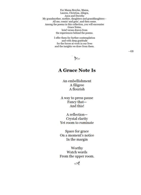For Mama Brovles, Mama, Lauren, Christina, Allegra, Anva and Dorothy My grandmother, mother, daughters and granddaughters-All me, comin' and goin', and then some. Among the poems in this collection, you will encounter Grace Notes, brief verses drawn from the experiences behind the poems.

> I offer them for further contemplation and with deep gratitude for the forces at work in our lives and the insights we draw from them.

> > yes.

#### **A Grace Note Is**

An embellishment A filigree A flourish

A way to press pause Fancy that-And this!

A reflection-Crystal clarity Yet room to ruminate

Space for grace On a moment's notice In the margin

Worthy Watch words From the upper room.

ভ≫

 $-GS$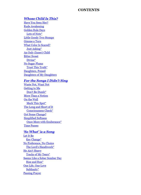#### **CONTENTS**

#### **Whose Child Is This?**

Have You Seen Her? **Rude Awakening Golden Rule Days** Lots of Nots\* Little Goody Two Stomps Gimme a Turn **What Color Is Scared?** Just Asking\* An Only (Inner) Child **Bitter Sweet** Divine\* **No Sugar Plums** Trust This Truth\* Daughters, Poised **Daughters of My Daughters** 

#### **For the Songs I Didn't Sing**

Waste Not. Want Not **Getting to Me** Don't Be Dumb\* More Than a Notion On the Wall Mark This Spot\* The Long and Short of It Consciousness Check\* **Got Some Change? Simplified Softness** Once More with Exuberance\* **Time Passes** 

#### 'So What' is a Song

Let It Be Key Change\* No Preference, No Choice The Lord's Handiwork\* He Ain't Heavy **Tracks of My Tears\*** Seems Like a Sober Somber Day Rise and Run\* One Life, One Love Sublimity\* **Passing Prayer**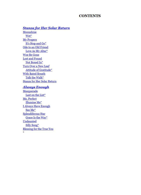#### **CONTENTS**

#### **Stanza for Her Solar Return**

Moonshine Wet\* **My Propers** It's Stop and Go\* Ode to an Old Friend Love As My Altar\* **Woe Be Gone Lost and Found** Not Boxed In\* Turn Over a New Leaf Attitude of Gratitude\* **With Bated Breath** Talk the Walk\* **Stanza for Her Solar Return** 

#### **Always Enough**

Masquerade Last on the List\* Me, Perfect **Illumine** Me\* **I Always Have Enough** See Me\* Splendiferous Star Grace Is the Way\* Undaunted Silly Song\* **Blessing for the True You**  $\mathbf{u}$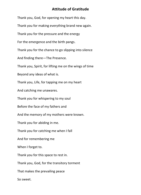#### **Attitude of Gratitude**

Thank you, God, for opening my heart this day. Thank you for making everything brand new again. Thank you for the pressure and the energy For the emergence and the birth pangs. Thank you for the chance to go slipping into silence And finding there—The Presence. Thank you, Spirit, for lifting me on the wings of time Beyond any ideas of what is. Thank you, Life, for tapping me on my heart And catching me unawares. Thank you for whispering to my soul Before the face of my fathers and And the memory of my mothers were known. Thank you for abiding in me. Thank you for catching me when I fall And for remembering me When I forget to. Thank you for this space to rest in. Thank you, God, for the transitory torment That makes the prevailing peace So sweet.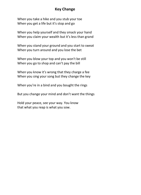#### **Key Change**

When you take a hike and you stub your toe When you get a life but it's stop and go

When you help yourself and they smack your hand When you claim your wealth but it's less than grand

When you stand your ground and you start to sweat When you turn around and you lose the bet

When you blow your top and you won't be still When you go to shop and can't pay the bill

When you know it's wrong that they charge a fee When you sing your song but they change the key

When you're in a bind and you bought the rings

But you change your mind and don't want the things

Hold your peace, see your way. You know that what you reap is what you sow.